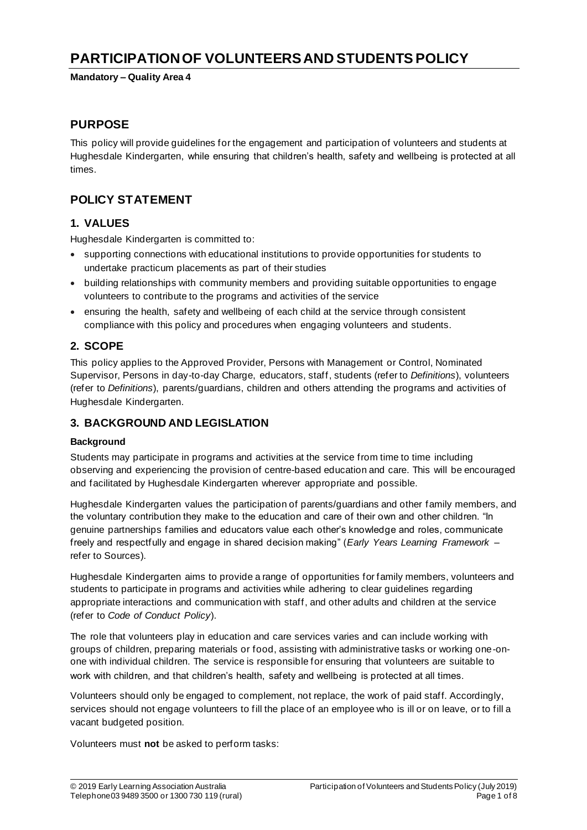# **PARTICIPATION OF VOLUNTEERS AND STUDENTS POLICY**

**Mandatory – Quality Area 4**

### **PURPOSE**

This policy will provide guidelines for the engagement and participation of volunteers and students at Hughesdale Kindergarten, while ensuring that children's health, safety and wellbeing is protected at all times.

# **POLICY STATEMENT**

### **1. VALUES**

Hughesdale Kindergarten is committed to:

- supporting connections with educational institutions to provide opportunities for students to undertake practicum placements as part of their studies
- building relationships with community members and providing suitable opportunities to engage volunteers to contribute to the programs and activities of the service
- ensuring the health, safety and wellbeing of each child at the service through consistent compliance with this policy and procedures when engaging volunteers and students.

### **2. SCOPE**

This policy applies to the Approved Provider, Persons with Management or Control, Nominated Supervisor, Persons in day-to-day Charge, educators, staff, students (refer to *Definitions*), volunteers (refer to *Definitions*), parents/guardians, children and others attending the programs and activities of Hughesdale Kindergarten.

### **3. BACKGROUND AND LEGISLATION**

### **Background**

Students may participate in programs and activities at the service from time to time including observing and experiencing the provision of centre-based education and care. This will be encouraged and facilitated by Hughesdale Kindergarten wherever appropriate and possible.

Hughesdale Kindergarten values the participation of parents/guardians and other family members, and the voluntary contribution they make to the education and care of their own and other children. "In genuine partnerships families and educators value each other's knowledge and roles, communicate freely and respectfully and engage in shared decision making" (*Early Years Learning Framework –* refer to Sources).

Hughesdale Kindergarten aims to provide a range of opportunities for family members, volunteers and students to participate in programs and activities while adhering to clear guidelines regarding appropriate interactions and communication with staff, and other adults and children at the service (refer to *Code of Conduct Policy*).

The role that volunteers play in education and care services varies and can include working with groups of children, preparing materials or food, assisting with administrative tasks or working one-onone with individual children. The service is responsible for ensuring that volunteers are suitable to work with children, and that children's health, safety and wellbeing is protected at all times.

Volunteers should only be engaged to complement, not replace, the work of paid staff. Accordingly, services should not engage volunteers to fill the place of an employee who is ill or on leave, or to fill a vacant budgeted position.

Volunteers must **not** be asked to perform tasks: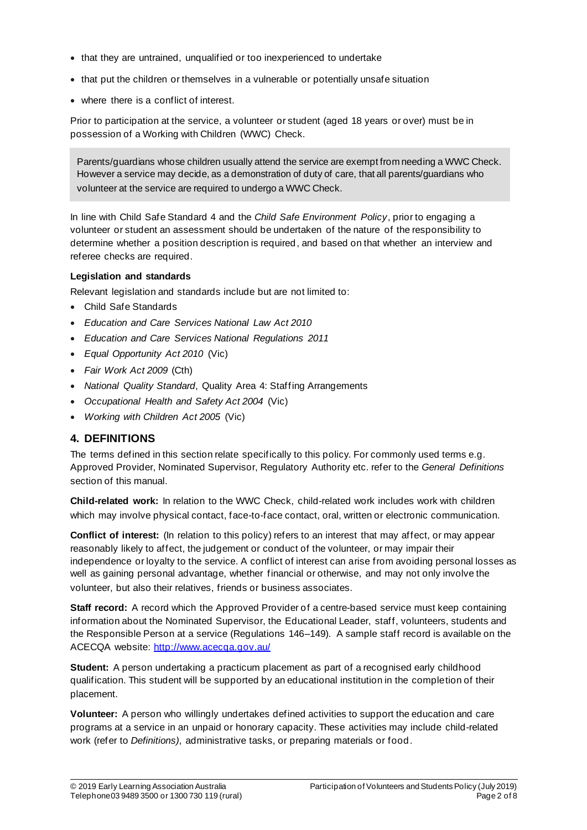- that they are untrained, unqualified or too inexperienced to undertake
- that put the children or themselves in a vulnerable or potentially unsafe situation
- where there is a conflict of interest.

Prior to participation at the service, a volunteer or student (aged 18 years or over) must be in possession of a Working with Children (WWC) Check.

Parents/guardians whose children usually attend the service are exempt from needing a WWC Check. However a service may decide, as a demonstration of duty of care, that all parents/guardians who volunteer at the service are required to undergo a WWC Check.

In line with Child Safe Standard 4 and the *Child Safe Environment Policy*, prior to engaging a volunteer or student an assessment should be undertaken of the nature of the responsibility to determine whether a position description is required, and based on that whether an interview and referee checks are required.

#### **Legislation and standards**

Relevant legislation and standards include but are not limited to:

- Child Safe Standards
- *Education and Care Services National Law Act 2010*
- *Education and Care Services National Regulations 2011*
- *Equal Opportunity Act 2010* (Vic)
- *Fair Work Act 2009* (Cth)
- *National Quality Standard*, Quality Area 4: Staffing Arrangements
- *Occupational Health and Safety Act 2004* (Vic)
- *Working with Children Act 2005* (Vic)

### **4. DEFINITIONS**

The terms defined in this section relate specifically to this policy. For commonly used terms e.g. Approved Provider, Nominated Supervisor, Regulatory Authority etc. refer to the *General Definitions* section of this manual.

**Child-related work:** In relation to the WWC Check, child-related work includes work with children which may involve physical contact, face-to-face contact, oral, written or electronic communication.

**Conflict of interest:** (In relation to this policy) refers to an interest that may affect, or may appear reasonably likely to affect, the judgement or conduct of the volunteer, or may impair their independence or loyalty to the service. A conflict of interest can arise from avoiding personal losses as well as gaining personal advantage, whether financial or otherwise, and may not only involve the volunteer, but also their relatives, friends or business associates.

**Staff record:** A record which the Approved Provider of a centre-based service must keep containing information about the Nominated Supervisor, the Educational Leader, staff, volunteers, students and the Responsible Person at a service (Regulations 146–149). A sample staff record is available on the ACECQA website: http://www.acecqa.gov.au/

**Student:** A person undertaking a practicum placement as part of a recognised early childhood qualification. This student will be supported by an educational institution in the completion of their placement.

**Volunteer:** A person who willingly undertakes defined activities to support the education and care programs at a service in an unpaid or honorary capacity. These activities may include child-related work (refer to *Definitions)*, administrative tasks, or preparing materials or food.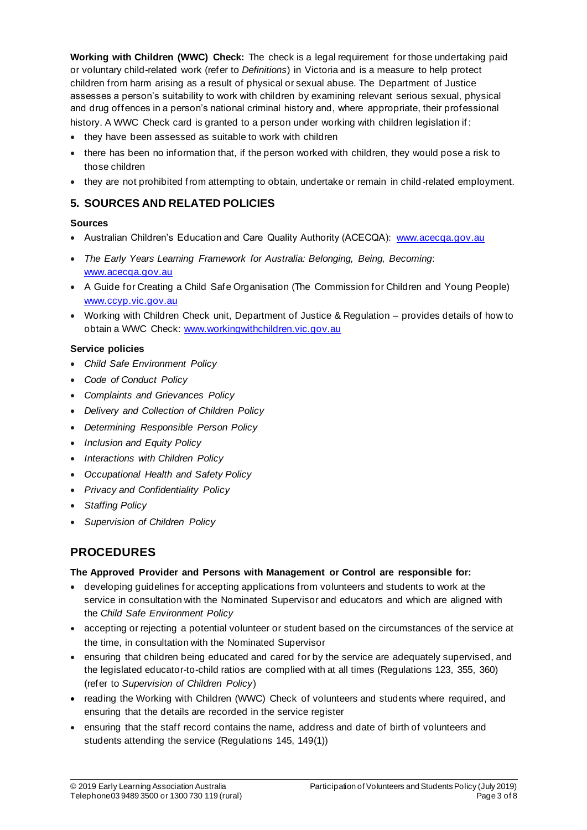**Working with Children (WWC) Check:** The check is a legal requirement for those undertaking paid or voluntary child-related work (refer to *Definitions*) in Victoria and is a measure to help protect children from harm arising as a result of physical or sexual abuse. The Department of Justice assesses a person's suitability to work with children by examining relevant serious sexual, physical and drug offences in a person's national criminal history and, where appropriate, their professional history. A WWC Check card is granted to a person under working with children legislation if:

- they have been assessed as suitable to work with children
- there has been no information that, if the person worked with children, they would pose a risk to those children
- they are not prohibited from attempting to obtain, undertake or remain in child -related employment.

### **5. SOURCES AND RELATED POLICIES**

#### **Sources**

- Australian Children's Education and Care Quality Authority (ACECQA): www.acecqa.gov.au
- *The Early Years Learning Framework for Australia: Belonging, Being, Becoming*: www.acecqa.gov.au
- A Guide for Creating a Child Safe Organisation (The Commission for Children and Young People) www.ccyp.vic.gov.au
- Working with Children Check unit, Department of Justice & Regulation provides details of how to obtain a WWC Check: www.workingwithchildren.vic.gov.au

#### **Service policies**

- *Child Safe Environment Policy*
- *Code of Conduct Policy*
- *Complaints and Grievances Policy*
- *Delivery and Collection of Children Policy*
- *Determining Responsible Person Policy*
- *Inclusion and Equity Policy*
- *Interactions with Children Policy*
- *Occupational Health and Safety Policy*
- *Privacy and Confidentiality Policy*
- *Staffing Policy*
- *Supervision of Children Policy*

# **PROCEDURES**

### **The Approved Provider and Persons with Management or Control are responsible for:**

- developing guidelines for accepting applications from volunteers and students to work at the service in consultation with the Nominated Supervisor and educators and which are aligned with the *Child Safe Environment Policy*
- accepting or rejecting a potential volunteer or student based on the circumstances of the service at the time, in consultation with the Nominated Supervisor
- ensuring that children being educated and cared for by the service are adequately supervised, and the legislated educator-to-child ratios are complied with at all times (Regulations 123, 355, 360) (refer to *Supervision of Children Policy*)
- reading the Working with Children (WWC) Check of volunteers and students where required, and ensuring that the details are recorded in the service register
- ensuring that the staff record contains the name, address and date of birth of volunteers and students attending the service (Regulations 145, 149(1))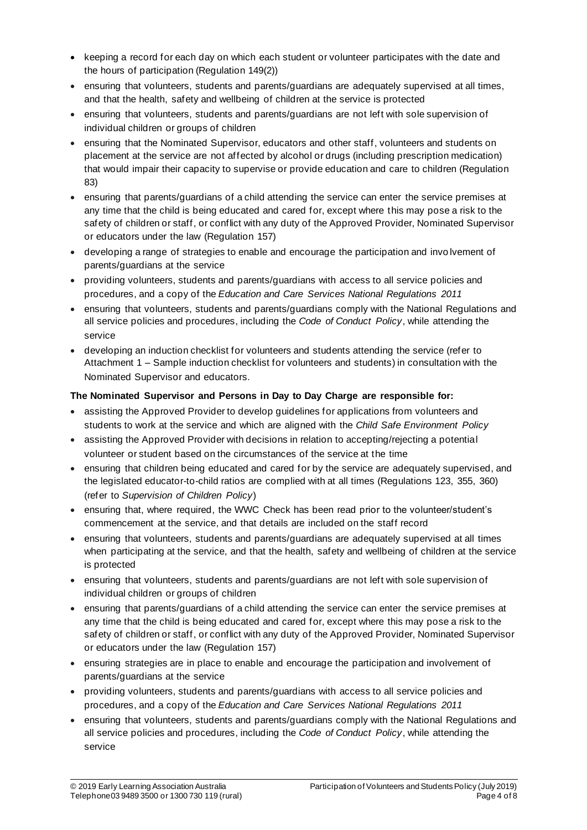- keeping a record for each day on which each student or volunteer participates with the date and the hours of participation (Regulation 149(2))
- ensuring that volunteers, students and parents/guardians are adequately supervised at all times, and that the health, safety and wellbeing of children at the service is protected
- ensuring that volunteers, students and parents/guardians are not left with sole supervision of individual children or groups of children
- ensuring that the Nominated Supervisor, educators and other staff, volunteers and students on placement at the service are not affected by alcohol or drugs (including prescription medication) that would impair their capacity to supervise or provide education and care to children (Regulation 83)
- ensuring that parents/guardians of a child attending the service can enter the service premises at any time that the child is being educated and cared for, except where this may pose a risk to the safety of children or staff, or conflict with any duty of the Approved Provider, Nominated Supervisor or educators under the law (Regulation 157)
- developing a range of strategies to enable and encourage the participation and invo lvement of parents/guardians at the service
- providing volunteers, students and parents/guardians with access to all service policies and procedures, and a copy of the *Education and Care Services National Regulations 2011*
- ensuring that volunteers, students and parents/guardians comply with the National Regulations and all service policies and procedures, including the *Code of Conduct Policy*, while attending the service
- developing an induction checklist for volunteers and students attending the service (refer to Attachment 1 – Sample induction checklist for volunteers and students) in consultation with the Nominated Supervisor and educators.

### **The Nominated Supervisor and Persons in Day to Day Charge are responsible for:**

- assisting the Approved Provider to develop guidelines for applications from volunteers and students to work at the service and which are aligned with the *Child Safe Environment Policy*
- assisting the Approved Provider with decisions in relation to accepting/rejecting a potential volunteer or student based on the circumstances of the service at the time
- ensuring that children being educated and cared for by the service are adequately supervised, and the legislated educator-to-child ratios are complied with at all times (Regulations 123, 355, 360) (refer to *Supervision of Children Policy*)
- ensuring that, where required, the WWC Check has been read prior to the volunteer/student's commencement at the service, and that details are included on the staff record
- ensuring that volunteers, students and parents/guardians are adequately supervised at all times when participating at the service, and that the health, safety and wellbeing of children at the service is protected
- ensuring that volunteers, students and parents/guardians are not left with sole supervision of individual children or groups of children
- ensuring that parents/guardians of a child attending the service can enter the service premises at any time that the child is being educated and cared for, except where this may pose a risk to the safety of children or staff, or conflict with any duty of the Approved Provider, Nominated Supervisor or educators under the law (Regulation 157)
- ensuring strategies are in place to enable and encourage the participation and involvement of parents/guardians at the service
- providing volunteers, students and parents/guardians with access to all service policies and procedures, and a copy of the *Education and Care Services National Regulations 2011*
- ensuring that volunteers, students and parents/guardians comply with the National Regulations and all service policies and procedures, including the *Code of Conduct Policy*, while attending the service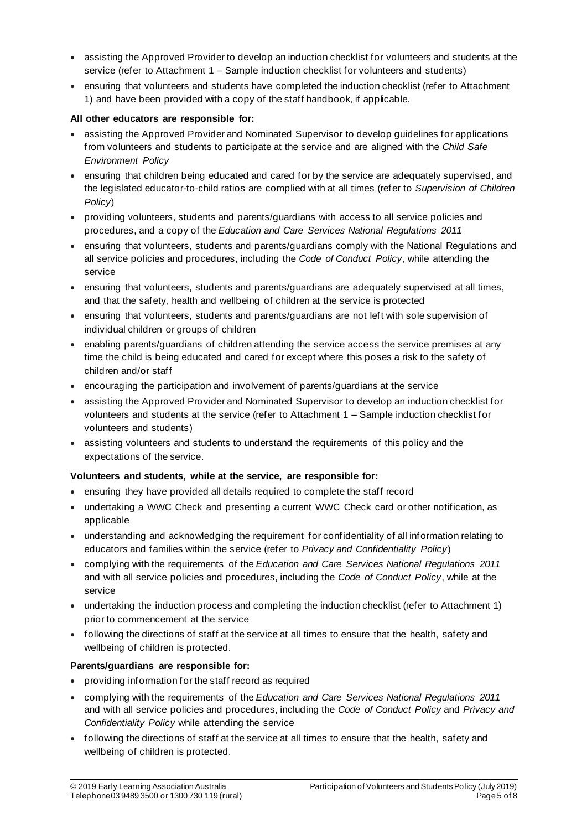- assisting the Approved Provider to develop an induction checklist for volunteers and students at the service (refer to Attachment 1 – Sample induction checklist for volunteers and students)
- ensuring that volunteers and students have completed the induction checklist (refer to Attachment 1) and have been provided with a copy of the staff handbook, if applicable.

#### **All other educators are responsible for:**

- assisting the Approved Provider and Nominated Supervisor to develop guidelines for applications from volunteers and students to participate at the service and are aligned with the *Child Safe Environment Policy*
- ensuring that children being educated and cared for by the service are adequately supervised, and the legislated educator-to-child ratios are complied with at all times (refer to *Supervision of Children Policy*)
- providing volunteers, students and parents/guardians with access to all service policies and procedures, and a copy of the *Education and Care Services National Regulations 2011*
- ensuring that volunteers, students and parents/guardians comply with the National Regulations and all service policies and procedures, including the *Code of Conduct Policy*, while attending the service
- ensuring that volunteers, students and parents/guardians are adequately supervised at all times, and that the safety, health and wellbeing of children at the service is protected
- ensuring that volunteers, students and parents/guardians are not left with sole supervision of individual children or groups of children
- enabling parents/guardians of children attending the service access the service premises at any time the child is being educated and cared for except where this poses a risk to the safety of children and/or staff
- encouraging the participation and involvement of parents/guardians at the service
- assisting the Approved Provider and Nominated Supervisor to develop an induction checklist for volunteers and students at the service (refer to Attachment 1 – Sample induction checklist for volunteers and students)
- assisting volunteers and students to understand the requirements of this policy and the expectations of the service.

### **Volunteers and students, while at the service, are responsible for:**

- ensuring they have provided all details required to complete the staff record
- undertaking a WWC Check and presenting a current WWC Check card or other notification, as applicable
- understanding and acknowledging the requirement for confidentiality of all information relating to educators and families within the service (refer to *Privacy and Confidentiality Policy*)
- complying with the requirements of the *Education and Care Services National Regulations 2011* and with all service policies and procedures, including the *Code of Conduct Policy*, while at the service
- undertaking the induction process and completing the induction checklist (refer to Attachment 1) prior to commencement at the service
- following the directions of staff at the service at all times to ensure that the health, safety and wellbeing of children is protected.

### **Parents/guardians are responsible for:**

- providing information for the staff record as required
- complying with the requirements of the *Education and Care Services National Regulations 2011* and with all service policies and procedures, including the *Code of Conduct Policy* and *Privacy and Confidentiality Policy* while attending the service
- following the directions of staff at the service at all times to ensure that the health, safety and wellbeing of children is protected.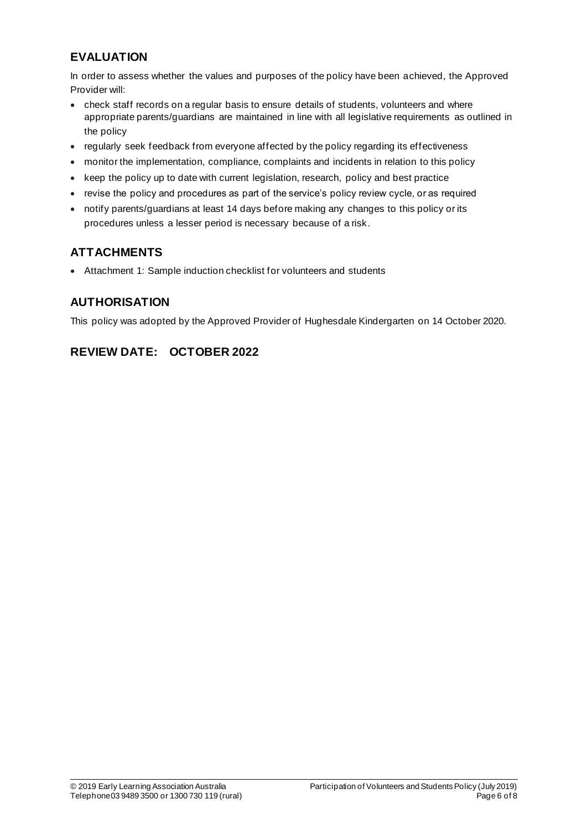# **EVALUATION**

In order to assess whether the values and purposes of the policy have been achieved, the Approved Provider will:

- check staff records on a regular basis to ensure details of students, volunteers and where appropriate parents/guardians are maintained in line with all legislative requirements as outlined in the policy
- regularly seek feedback from everyone affected by the policy regarding its effectiveness
- monitor the implementation, compliance, complaints and incidents in relation to this policy
- keep the policy up to date with current legislation, research, policy and best practice
- revise the policy and procedures as part of the service's policy review cycle, or as required
- notify parents/guardians at least 14 days before making any changes to this policy or its procedures unless a lesser period is necessary because of a risk.

# **ATTACHMENTS**

• Attachment 1: Sample induction checklist for volunteers and students

## **AUTHORISATION**

This policy was adopted by the Approved Provider of Hughesdale Kindergarten on 14 October 2020.

# **REVIEW DATE: OCTOBER 2022**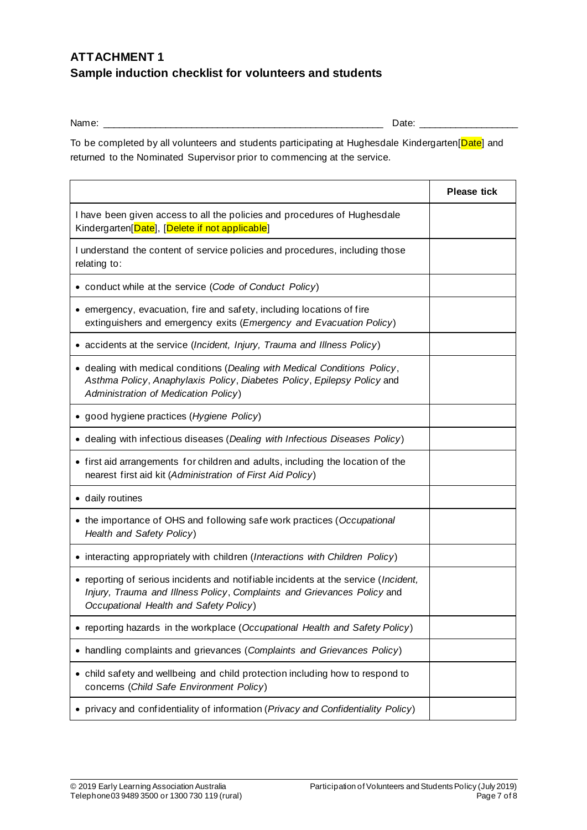# **ATTACHMENT 1 Sample induction checklist for volunteers and students**

Name: \_\_\_\_\_\_\_\_\_\_\_\_\_\_\_\_\_\_\_\_\_\_\_\_\_\_\_\_\_\_\_\_\_\_\_\_\_\_\_\_\_\_\_\_\_\_\_\_\_\_\_\_\_\_ Date: \_\_\_\_\_\_\_\_\_\_\_\_\_\_\_\_\_\_\_

To be completed by all volunteers and students participating at Hughesdale Kindergarten[Date] and returned to the Nominated Supervisor prior to commencing at the service.

|                                                                                                                                                                                                          | <b>Please tick</b> |
|----------------------------------------------------------------------------------------------------------------------------------------------------------------------------------------------------------|--------------------|
| I have been given access to all the policies and procedures of Hughesdale<br>Kindergarten[Date], [Delete if not applicable]                                                                              |                    |
| I understand the content of service policies and procedures, including those<br>relating to:                                                                                                             |                    |
| • conduct while at the service (Code of Conduct Policy)                                                                                                                                                  |                    |
| • emergency, evacuation, fire and safety, including locations of fire<br>extinguishers and emergency exits (Emergency and Evacuation Policy)                                                             |                    |
| • accidents at the service (Incident, Injury, Trauma and Illness Policy)                                                                                                                                 |                    |
| • dealing with medical conditions (Dealing with Medical Conditions Policy,<br>Asthma Policy, Anaphylaxis Policy, Diabetes Policy, Epilepsy Policy and<br>Administration of Medication Policy)            |                    |
| • good hygiene practices (Hygiene Policy)                                                                                                                                                                |                    |
| • dealing with infectious diseases (Dealing with Infectious Diseases Policy)                                                                                                                             |                    |
| • first aid arrangements for children and adults, including the location of the<br>nearest first aid kit (Administration of First Aid Policy)                                                            |                    |
| • daily routines                                                                                                                                                                                         |                    |
| • the importance of OHS and following safe work practices (Occupational<br>Health and Safety Policy)                                                                                                     |                    |
| • interacting appropriately with children (Interactions with Children Policy)                                                                                                                            |                    |
| • reporting of serious incidents and notifiable incidents at the service (Incident,<br>Injury, Trauma and Illness Policy, Complaints and Grievances Policy and<br>Occupational Health and Safety Policy) |                    |
| • reporting hazards in the workplace (Occupational Health and Safety Policy)                                                                                                                             |                    |
| • handling complaints and grievances (Complaints and Grievances Policy)                                                                                                                                  |                    |
| • child safety and wellbeing and child protection including how to respond to<br>concerns (Child Safe Environment Policy)                                                                                |                    |
| • privacy and confidentiality of information (Privacy and Confidentiality Policy)                                                                                                                        |                    |